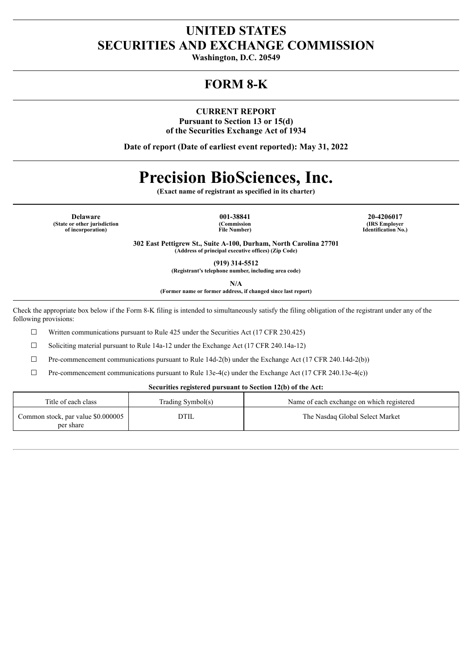# **UNITED STATES SECURITIES AND EXCHANGE COMMISSION**

**Washington, D.C. 20549**

# **FORM 8-K**

**CURRENT REPORT Pursuant to Section 13 or 15(d) of the Securities Exchange Act of 1934**

**Date of report (Date of earliest event reported): May 31, 2022**

# **Precision BioSciences, Inc.**

**(Exact name of registrant as specified in its charter)**

**Delaware 001-38841 20-4206017 (State or other jurisdiction of incorporation)**

**(Commission File Number)**

**(IRS Employer Identification No.)**

**302 East Pettigrew St., Suite A-100, Durham, North Carolina 27701 (Address of principal executive offices) (Zip Code)**

**(919) 314-5512**

**(Registrant's telephone number, including area code)**

**N/A**

**(Former name or former address, if changed since last report)**

Check the appropriate box below if the Form 8-K filing is intended to simultaneously satisfy the filing obligation of the registrant under any of the following provisions:

 $\Box$  Written communications pursuant to Rule 425 under the Securities Act (17 CFR 230.425)

☐ Soliciting material pursuant to Rule 14a-12 under the Exchange Act (17 CFR 240.14a-12)

 $\Box$  Pre-commencement communications pursuant to Rule 14d-2(b) under the Exchange Act (17 CFR 240.14d-2(b))

 $\Box$  Pre-commencement communications pursuant to Rule 13e-4(c) under the Exchange Act (17 CFR 240.13e-4(c))

# **Securities registered pursuant to Section 12(b) of the Act:**

| Title of each class                             | Trading Symbol(s) | Name of each exchange on which registered |
|-------------------------------------------------|-------------------|-------------------------------------------|
| Common stock, par value \$0.000005<br>per share | <b>DTIL</b>       | The Nasdaq Global Select Market           |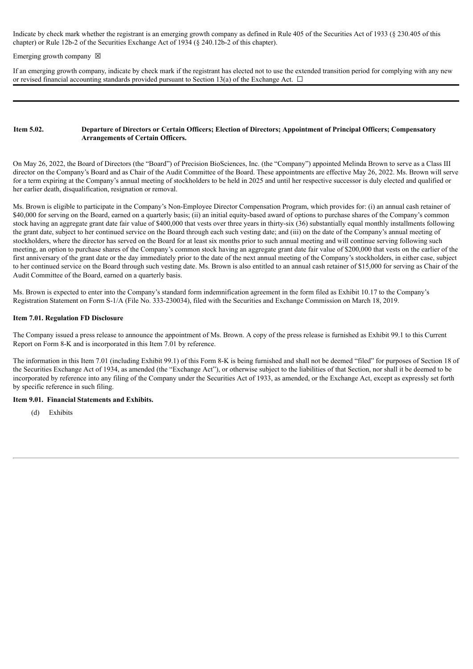Indicate by check mark whether the registrant is an emerging growth company as defined in Rule 405 of the Securities Act of 1933 (§ 230.405 of this chapter) or Rule 12b-2 of the Securities Exchange Act of 1934 (§ 240.12b-2 of this chapter).

#### Emerging growth company  $\boxtimes$

If an emerging growth company, indicate by check mark if the registrant has elected not to use the extended transition period for complying with any new or revised financial accounting standards provided pursuant to Section 13(a) of the Exchange Act.  $\Box$ 

### Item 5.02. Departure of Directors or Certain Officers; Election of Directors; Appointment of Principal Officers; Compensatory **Arrangements of Certain Officers.**

On May 26, 2022, the Board of Directors (the "Board") of Precision BioSciences, Inc. (the "Company") appointed Melinda Brown to serve as a Class III director on the Company's Board and as Chair of the Audit Committee of the Board. These appointments are effective May 26, 2022. Ms. Brown will serve for a term expiring at the Company's annual meeting of stockholders to be held in 2025 and until her respective successor is duly elected and qualified or her earlier death, disqualification, resignation or removal.

Ms. Brown is eligible to participate in the Company's Non-Employee Director Compensation Program, which provides for: (i) an annual cash retainer of \$40,000 for serving on the Board, earned on a quarterly basis; (ii) an initial equity-based award of options to purchase shares of the Company's common stock having an aggregate grant date fair value of \$400,000 that vests over three years in thirty-six (36) substantially equal monthly installments following the grant date, subject to her continued service on the Board through each such vesting date; and (iii) on the date of the Company's annual meeting of stockholders, where the director has served on the Board for at least six months prior to such annual meeting and will continue serving following such meeting, an option to purchase shares of the Company's common stock having an aggregate grant date fair value of \$200,000 that vests on the earlier of the first anniversary of the grant date or the day immediately prior to the date of the next annual meeting of the Company's stockholders, in either case, subject to her continued service on the Board through such vesting date. Ms. Brown is also entitled to an annual cash retainer of \$15,000 for serving as Chair of the Audit Committee of the Board, earned on a quarterly basis.

Ms. Brown is expected to enter into the Company's standard form indemnification agreement in the form filed as Exhibit 10.17 to the Company's Registration Statement on Form S-1/A (File No. 333-230034), filed with the Securities and Exchange Commission on March 18, 2019.

### **Item 7.01. Regulation FD Disclosure**

The Company issued a press release to announce the appointment of Ms. Brown. A copy of the press release is furnished as Exhibit 99.1 to this Current Report on Form 8-K and is incorporated in this Item 7.01 by reference.

The information in this Item 7.01 (including Exhibit 99.1) of this Form 8-K is being furnished and shall not be deemed "filed" for purposes of Section 18 of the Securities Exchange Act of 1934, as amended (the "Exchange Act"), or otherwise subject to the liabilities of that Section, nor shall it be deemed to be incorporated by reference into any filing of the Company under the Securities Act of 1933, as amended, or the Exchange Act, except as expressly set forth by specific reference in such filing.

# **Item 9.01. Financial Statements and Exhibits.**

(d) Exhibits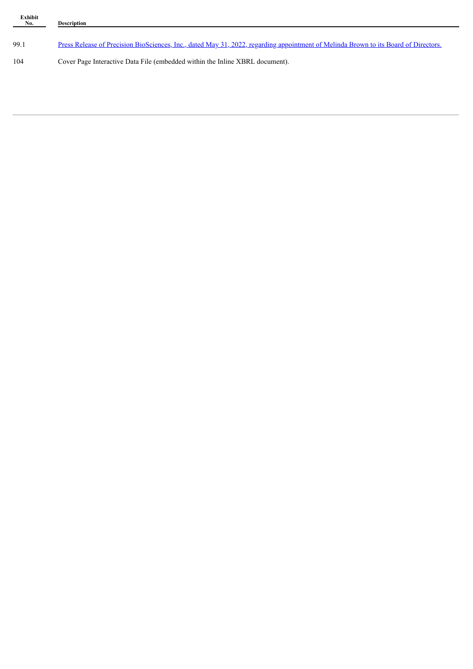| Exhibit<br>$N_{0.}$ | <b>Description</b>                                                                                                                  |  |
|---------------------|-------------------------------------------------------------------------------------------------------------------------------------|--|
| 99.1                | Press Release of Precision BioSciences, Inc., dated May 31, 2022, regarding appointment of Melinda Brown to its Board of Directors. |  |
|                     |                                                                                                                                     |  |
| 104                 | Cover Page Interactive Data File (embedded within the Inline XBRL document).                                                        |  |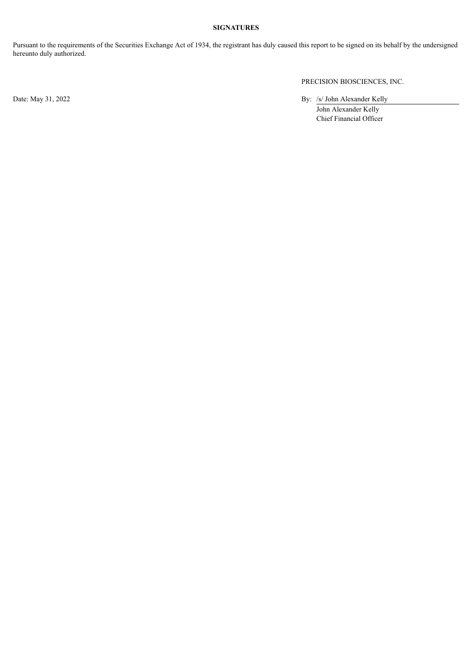# **SIGNATURES**

Pursuant to the requirements of the Securities Exchange Act of 1934, the registrant has duly caused this report to be signed on its behalf by the undersigned hereunto duly authorized.

PRECISION BIOSCIENCES, INC.

Date: May 31, 2022 By: /s/ John Alexander Kelly

John Alexander Kelly Chief Financial Officer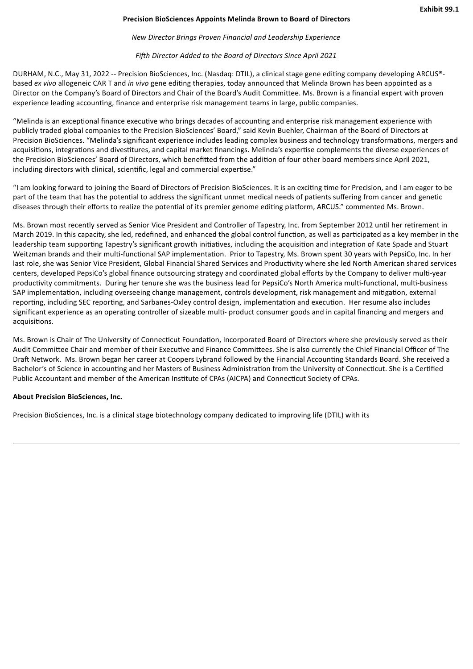# **Precision BioSciences Appoints Melinda Brown to Board of Directors**

### *New Director Brings Proven Financial and Leadership Experience*

## *Fifth Director Added to the Board of Directors Since April 2021*

<span id="page-4-0"></span>DURHAM, N.C., May 31, 2022 -- Precision BioSciences, Inc. (Nasdaq: DTIL), a clinical stage gene editing company developing ARCUS® based *ex vivo* allogeneic CAR T and *in vivo* gene editing therapies, today announced that Melinda Brown has been appointed as a Director on the Company's Board of Directors and Chair of the Board's Audit Committee. Ms. Brown is a financial expert with proven experience leading accounting, finance and enterprise risk management teams in large, public companies.

"Melinda is an exceptional finance executive who brings decades of accounting and enterprise risk management experience with publicly traded global companies to the Precision BioSciences' Board," said Kevin Buehler, Chairman of the Board of Directors at Precision BioSciences. "Melinda's significant experience includes leading complex business and technology transformations, mergers and acquisitions, integrations and divestitures, and capital market financings. Melinda's expertise complements the diverse experiences of the Precision BioSciences' Board of Directors, which benefitted from the addition of four other board members since April 2021, including directors with clinical, scientific, legal and commercial expertise."

"I am looking forward to joining the Board of Directors of Precision BioSciences. It is an exciting time for Precision, and I am eager to be part of the team that has the potential to address the significant unmet medical needs of patients suffering from cancer and genetic diseases through their efforts to realize the potential of its premier genome editing platform, ARCUS." commented Ms. Brown.

Ms. Brown most recently served as Senior Vice President and Controller of Tapestry, Inc. from September 2012 until her retirement in March 2019. In this capacity, she led, redefined, and enhanced the global control function, as well as participated as a key member in the leadership team supporting Tapestry's significant growth initiatives, including the acquisition and integration of Kate Spade and Stuart Weitzman brands and their multi-functional SAP implementation. Prior to Tapestry, Ms. Brown spent 30 years with PepsiCo, Inc. In her last role, she was Senior Vice President, Global Financial Shared Services and Productivity where she led North American shared services centers, developed PepsiCo's global finance outsourcing strategy and coordinated global efforts by the Company to deliver multi-year productivity commitments. During her tenure she was the business lead for PepsiCo's North America multi-functional, multi-business SAP implementation, including overseeing change management, controls development, risk management and mitigation, external reporting, including SEC reporting, and Sarbanes-Oxley control design, implementation and execution. Her resume also includes significant experience as an operating controller of sizeable multi- product consumer goods and in capital financing and mergers and acquisitions.

Ms. Brown is Chair of The University of Connecticut Foundation, Incorporated Board of Directors where she previously served as their Audit Committee Chair and member of their Executive and Finance Committees. She is also currently the Chief Financial Officer of The Draft Network. Ms. Brown began her career at Coopers Lybrand followed by the Financial Accounting Standards Board. She received a Bachelor's of Science in accounting and her Masters of Business Administration from the University of Connecticut. She is a Certified Public Accountant and member of the American Institute of CPAs (AICPA) and Connecticut Society of CPAs.

# **About Precision BioSciences, Inc.**

Precision BioSciences, Inc. is a clinical stage biotechnology company dedicated to improving life (DTIL) with its